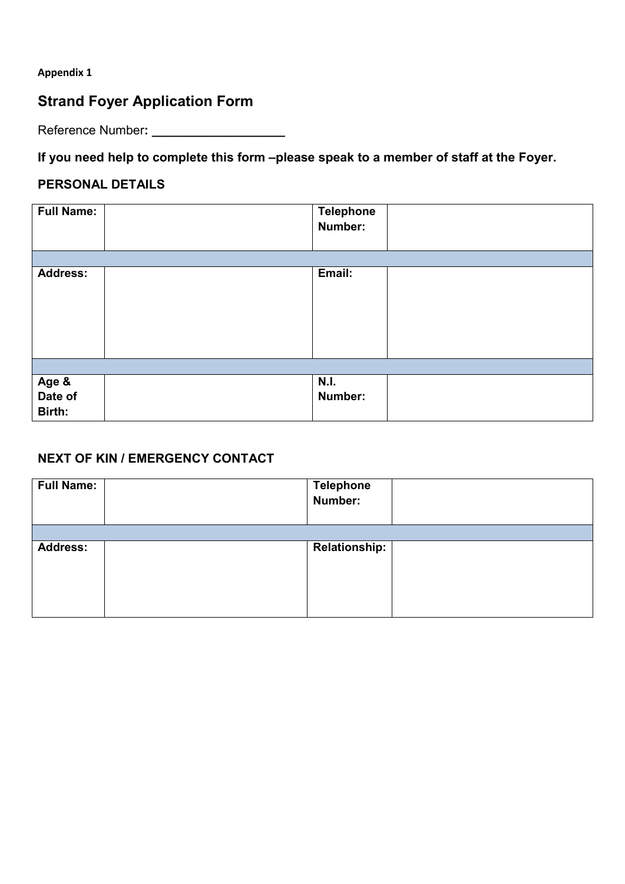#### **Appendix 1**

## **Strand Foyer Application Form**

Reference Number**: \_\_\_\_\_\_\_\_\_\_\_\_\_\_\_\_\_\_\_**

**If you need help to complete this form –please speak to a member of staff at the Foyer.**

#### **PERSONAL DETAILS**

| <b>Full Name:</b> | <b>Telephone</b><br>Number: |  |
|-------------------|-----------------------------|--|
| <b>Address:</b>   | Email:                      |  |
|                   |                             |  |
|                   |                             |  |
|                   |                             |  |
|                   |                             |  |
| Age &             | <b>N.I.</b>                 |  |
| Date of           | Number:                     |  |
| Birth:            |                             |  |

#### **NEXT OF KIN / EMERGENCY CONTACT**

| <b>Full Name:</b> | Telephone<br>Number: |  |
|-------------------|----------------------|--|
|                   |                      |  |
| <b>Address:</b>   | Relationship:        |  |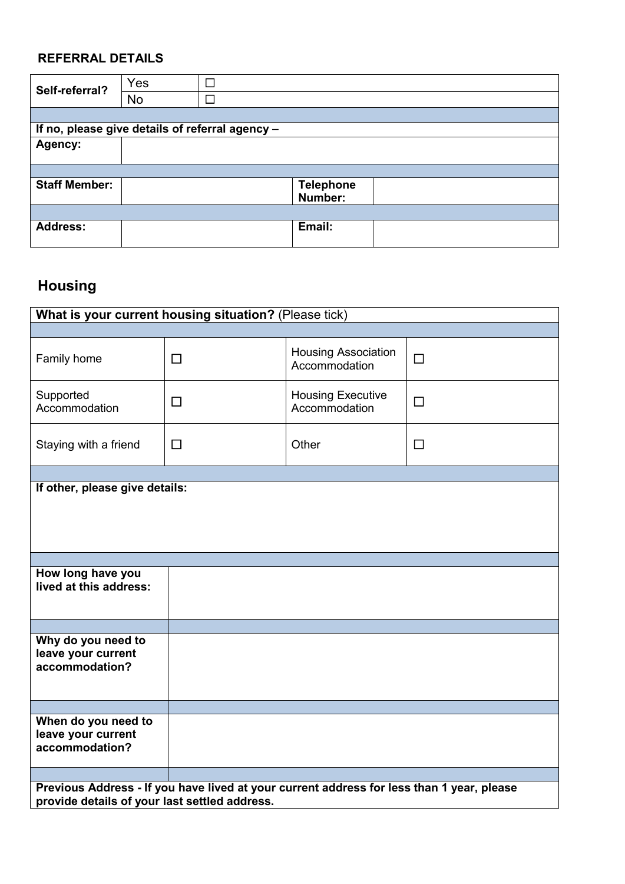### **REFERRAL DETAILS**

| Self-referral?                                  | Yes | П |                  |  |
|-------------------------------------------------|-----|---|------------------|--|
|                                                 | No  | П |                  |  |
|                                                 |     |   |                  |  |
| If no, please give details of referral agency - |     |   |                  |  |
| Agency:                                         |     |   |                  |  |
|                                                 |     |   |                  |  |
|                                                 |     |   |                  |  |
| <b>Staff Member:</b>                            |     |   | <b>Telephone</b> |  |
|                                                 |     |   | Number:          |  |
|                                                 |     |   |                  |  |
| <b>Address:</b>                                 |     |   | Email:           |  |
|                                                 |     |   |                  |  |

# **Housing**

| What is your current housing situation? (Please tick)                                     |        |                                             |        |  |  |
|-------------------------------------------------------------------------------------------|--------|---------------------------------------------|--------|--|--|
|                                                                                           |        |                                             |        |  |  |
| Family home                                                                               | $\Box$ | <b>Housing Association</b><br>Accommodation | $\Box$ |  |  |
| Supported<br>Accommodation                                                                | $\Box$ | <b>Housing Executive</b><br>Accommodation   | $\Box$ |  |  |
| Staying with a friend                                                                     | $\Box$ | Other                                       | $\Box$ |  |  |
|                                                                                           |        |                                             |        |  |  |
| If other, please give details:                                                            |        |                                             |        |  |  |
|                                                                                           |        |                                             |        |  |  |
|                                                                                           |        |                                             |        |  |  |
|                                                                                           |        |                                             |        |  |  |
| How long have you                                                                         |        |                                             |        |  |  |
| lived at this address:                                                                    |        |                                             |        |  |  |
|                                                                                           |        |                                             |        |  |  |
|                                                                                           |        |                                             |        |  |  |
| Why do you need to                                                                        |        |                                             |        |  |  |
| leave your current<br>accommodation?                                                      |        |                                             |        |  |  |
|                                                                                           |        |                                             |        |  |  |
|                                                                                           |        |                                             |        |  |  |
|                                                                                           |        |                                             |        |  |  |
| When do you need to<br>leave your current                                                 |        |                                             |        |  |  |
| accommodation?                                                                            |        |                                             |        |  |  |
|                                                                                           |        |                                             |        |  |  |
| Previous Address - If you have lived at your current address for less than 1 year, please |        |                                             |        |  |  |
| provide details of your last settled address.                                             |        |                                             |        |  |  |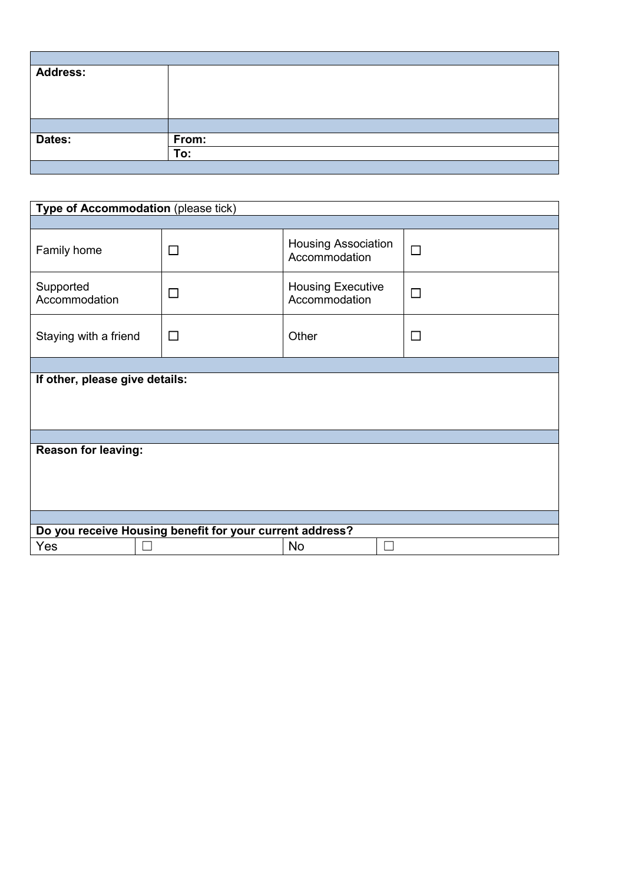| <b>Address:</b> |       |
|-----------------|-------|
|                 |       |
|                 |       |
|                 |       |
|                 |       |
| Dates:          | From: |
|                 | To:   |
|                 |       |

| Type of Accommodation (please tick)                      |        |                                             |        |  |  |  |
|----------------------------------------------------------|--------|---------------------------------------------|--------|--|--|--|
|                                                          |        |                                             |        |  |  |  |
| Family home                                              | $\Box$ | <b>Housing Association</b><br>Accommodation | $\Box$ |  |  |  |
| Supported<br>Accommodation                               | □      | <b>Housing Executive</b><br>Accommodation   | $\Box$ |  |  |  |
| Staying with a friend                                    | $\Box$ | Other                                       | $\Box$ |  |  |  |
|                                                          |        |                                             |        |  |  |  |
| If other, please give details:                           |        |                                             |        |  |  |  |
|                                                          |        |                                             |        |  |  |  |
| <b>Reason for leaving:</b>                               |        |                                             |        |  |  |  |
|                                                          |        |                                             |        |  |  |  |
|                                                          |        |                                             |        |  |  |  |
|                                                          |        |                                             |        |  |  |  |
|                                                          |        |                                             |        |  |  |  |
| Do you receive Housing benefit for your current address? |        |                                             |        |  |  |  |
| Yes                                                      |        | No                                          |        |  |  |  |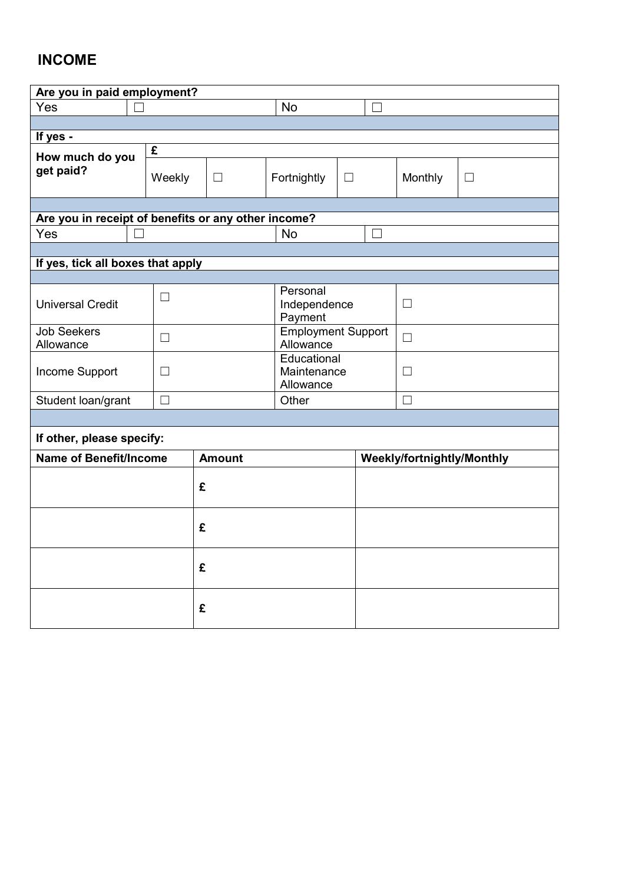# **INCOME**

| Are you in paid employment?                         |        |                                        |                                     |             |                          |                            |        |
|-----------------------------------------------------|--------|----------------------------------------|-------------------------------------|-------------|--------------------------|----------------------------|--------|
| Yes                                                 |        |                                        | <b>No</b>                           |             | $\overline{\phantom{a}}$ |                            |        |
|                                                     |        |                                        |                                     |             |                          |                            |        |
| If yes -                                            |        |                                        |                                     |             |                          |                            |        |
| How much do you                                     | £      |                                        |                                     |             |                          |                            |        |
| get paid?                                           | Weekly | $\Box$                                 | Fortnightly                         | $\Box$      |                          | Monthly                    | $\Box$ |
|                                                     |        |                                        |                                     |             |                          |                            |        |
| Are you in receipt of benefits or any other income? |        |                                        |                                     |             |                          |                            |        |
| Yes                                                 |        |                                        | <b>No</b>                           |             | $\overline{\phantom{0}}$ |                            |        |
|                                                     |        |                                        |                                     |             |                          |                            |        |
| If yes, tick all boxes that apply                   |        |                                        |                                     |             |                          |                            |        |
|                                                     |        |                                        |                                     |             |                          |                            |        |
| <b>Universal Credit</b>                             | П      |                                        | Personal<br>Independence<br>Payment |             |                          | $\Box$                     |        |
| <b>Job Seekers</b><br>П<br>Allowance                |        | <b>Employment Support</b><br>Allowance |                                     |             | $\Box$                   |                            |        |
| Income Support<br>$\perp$                           |        |                                        | Educational<br>Allowance            | Maintenance |                          | П                          |        |
| Student loan/grant                                  | П      | Other                                  |                                     |             | $\Box$                   |                            |        |
|                                                     |        |                                        |                                     |             |                          |                            |        |
| If other, please specify:                           |        |                                        |                                     |             |                          |                            |        |
| Name of Benefit/Income                              |        | <b>Amount</b>                          |                                     |             |                          | Weekly/fortnightly/Monthly |        |
|                                                     |        | £                                      |                                     |             |                          |                            |        |
|                                                     |        | £                                      |                                     |             |                          |                            |        |
|                                                     |        | £                                      |                                     |             |                          |                            |        |
|                                                     |        | £                                      |                                     |             |                          |                            |        |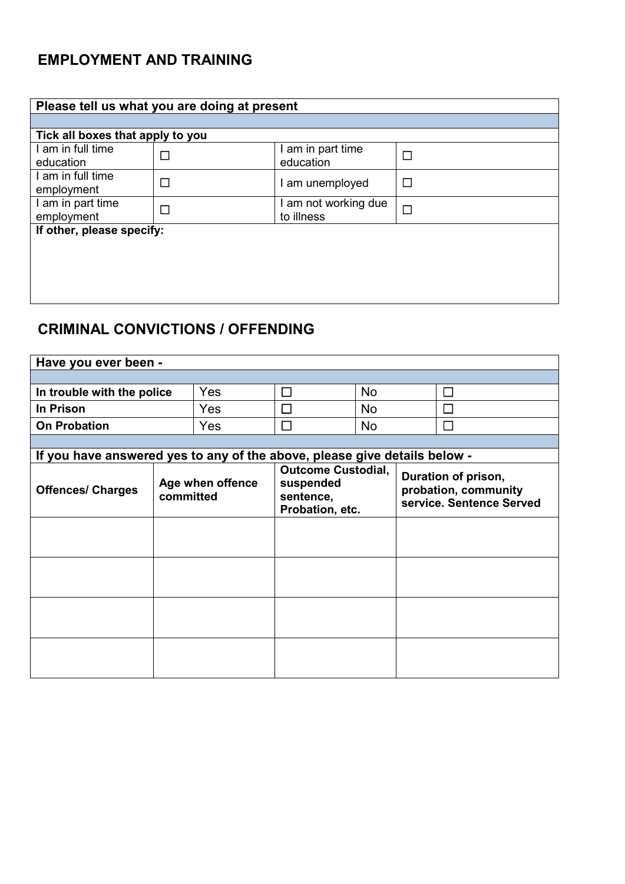# **EMPLOYMENT AND TRAINING**

| Please tell us what you are doing at present |   |                                  |        |  |  |
|----------------------------------------------|---|----------------------------------|--------|--|--|
|                                              |   |                                  |        |  |  |
| Tick all boxes that apply to you             |   |                                  |        |  |  |
| I am in full time<br>education               |   | I am in part time<br>education   | П      |  |  |
| I am in full time<br>employment              |   | am unemployed                    | П      |  |  |
| I am in part time<br>employment              | □ | am not working due<br>to illness | $\Box$ |  |  |
| If other, please specify:                    |   |                                  |        |  |  |
|                                              |   |                                  |        |  |  |
|                                              |   |                                  |        |  |  |
|                                              |   |                                  |        |  |  |
|                                              |   |                                  |        |  |  |

## **CRIMINAL CONVICTIONS / OFFENDING**

| Have you ever been -                                                      |                               |     |                                                                        |           |                                                                         |             |
|---------------------------------------------------------------------------|-------------------------------|-----|------------------------------------------------------------------------|-----------|-------------------------------------------------------------------------|-------------|
|                                                                           |                               |     |                                                                        |           |                                                                         |             |
| In trouble with the police                                                |                               | Yes | $\Box$                                                                 | <b>No</b> |                                                                         | <b>Tara</b> |
| In Prison                                                                 |                               | Yes | $\Box$                                                                 | <b>No</b> |                                                                         |             |
| <b>On Probation</b>                                                       |                               | Yes | $\Box$                                                                 | <b>No</b> |                                                                         |             |
|                                                                           |                               |     |                                                                        |           |                                                                         |             |
| If you have answered yes to any of the above, please give details below - |                               |     |                                                                        |           |                                                                         |             |
| <b>Offences/ Charges</b>                                                  | Age when offence<br>committed |     | <b>Outcome Custodial,</b><br>suspended<br>sentence,<br>Probation, etc. |           | Duration of prison,<br>probation, community<br>service. Sentence Served |             |
|                                                                           |                               |     |                                                                        |           |                                                                         |             |
|                                                                           |                               |     |                                                                        |           |                                                                         |             |
|                                                                           |                               |     |                                                                        |           |                                                                         |             |
|                                                                           |                               |     |                                                                        |           |                                                                         |             |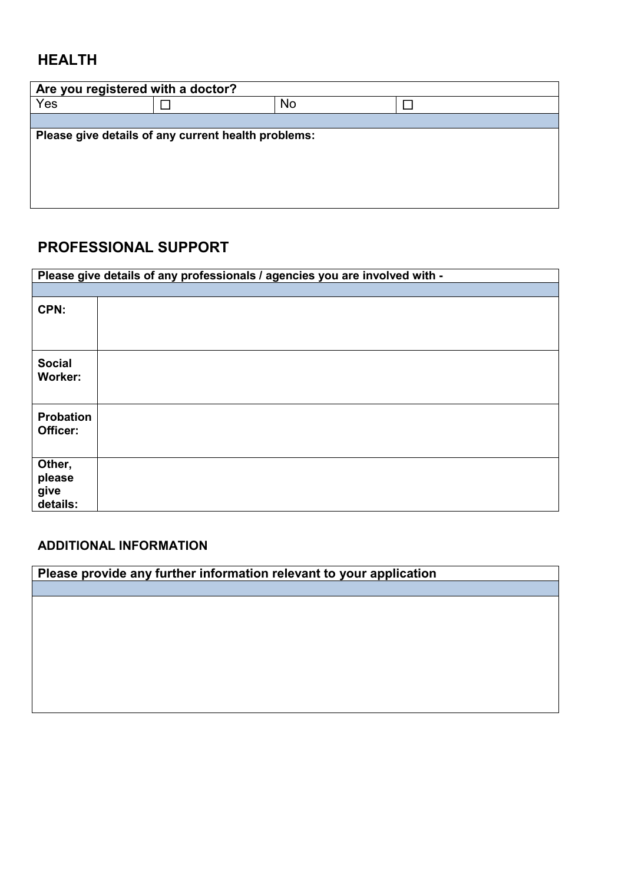## **HEALTH**

| Are you registered with a doctor?                   |  |    |  |  |  |  |
|-----------------------------------------------------|--|----|--|--|--|--|
| Yes                                                 |  | No |  |  |  |  |
|                                                     |  |    |  |  |  |  |
| Please give details of any current health problems: |  |    |  |  |  |  |
|                                                     |  |    |  |  |  |  |
|                                                     |  |    |  |  |  |  |
|                                                     |  |    |  |  |  |  |
|                                                     |  |    |  |  |  |  |

### **PROFESSIONAL SUPPORT**

|                                      | Please give details of any professionals / agencies you are involved with - |
|--------------------------------------|-----------------------------------------------------------------------------|
|                                      |                                                                             |
| CPN:                                 |                                                                             |
| <b>Social</b><br><b>Worker:</b>      |                                                                             |
| Probation<br>Officer:                |                                                                             |
| Other,<br>please<br>give<br>details: |                                                                             |

### **ADDITIONAL INFORMATION**

| Please provide any further information relevant to your application |  |  |  |  |
|---------------------------------------------------------------------|--|--|--|--|
|                                                                     |  |  |  |  |
|                                                                     |  |  |  |  |
|                                                                     |  |  |  |  |
|                                                                     |  |  |  |  |
|                                                                     |  |  |  |  |
|                                                                     |  |  |  |  |
|                                                                     |  |  |  |  |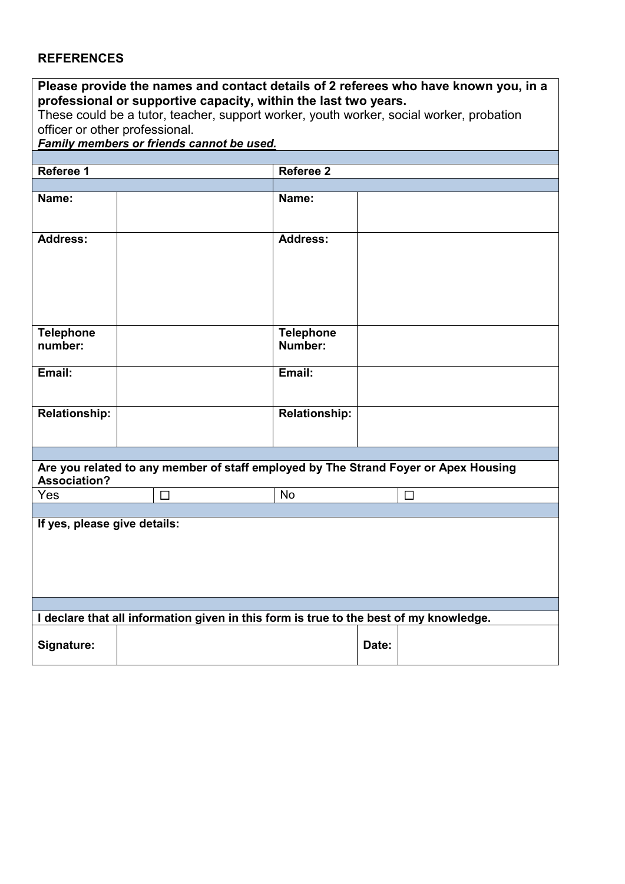#### **REFERENCES**

| Please provide the names and contact details of 2 referees who have known you, in a<br>professional or supportive capacity, within the last two years. |        |                      |        |  |
|--------------------------------------------------------------------------------------------------------------------------------------------------------|--------|----------------------|--------|--|
| These could be a tutor, teacher, support worker, youth worker, social worker, probation                                                                |        |                      |        |  |
| officer or other professional.                                                                                                                         |        |                      |        |  |
| Family members or friends cannot be used.                                                                                                              |        |                      |        |  |
|                                                                                                                                                        |        |                      |        |  |
| Referee 1                                                                                                                                              |        | <b>Referee 2</b>     |        |  |
|                                                                                                                                                        |        |                      |        |  |
| Name:                                                                                                                                                  |        | Name:                |        |  |
|                                                                                                                                                        |        |                      |        |  |
| <b>Address:</b>                                                                                                                                        |        | <b>Address:</b>      |        |  |
|                                                                                                                                                        |        |                      |        |  |
|                                                                                                                                                        |        |                      |        |  |
|                                                                                                                                                        |        |                      |        |  |
|                                                                                                                                                        |        |                      |        |  |
|                                                                                                                                                        |        |                      |        |  |
|                                                                                                                                                        |        |                      |        |  |
| <b>Telephone</b>                                                                                                                                       |        | <b>Telephone</b>     |        |  |
| number:                                                                                                                                                |        | Number:              |        |  |
|                                                                                                                                                        |        |                      |        |  |
| Email:                                                                                                                                                 |        | Email:               |        |  |
|                                                                                                                                                        |        |                      |        |  |
|                                                                                                                                                        |        |                      |        |  |
| <b>Relationship:</b>                                                                                                                                   |        | <b>Relationship:</b> |        |  |
|                                                                                                                                                        |        |                      |        |  |
|                                                                                                                                                        |        |                      |        |  |
| Are you related to any member of staff employed by The Strand Foyer or Apex Housing                                                                    |        |                      |        |  |
| <b>Association?</b>                                                                                                                                    |        |                      |        |  |
| Yes                                                                                                                                                    | $\Box$ | <b>No</b>            | $\Box$ |  |
|                                                                                                                                                        |        |                      |        |  |
| If yes, please give details:                                                                                                                           |        |                      |        |  |
|                                                                                                                                                        |        |                      |        |  |
|                                                                                                                                                        |        |                      |        |  |
|                                                                                                                                                        |        |                      |        |  |
|                                                                                                                                                        |        |                      |        |  |
|                                                                                                                                                        |        |                      |        |  |
|                                                                                                                                                        |        |                      |        |  |
| I declare that all information given in this form is true to the best of my knowledge.                                                                 |        |                      |        |  |
|                                                                                                                                                        |        |                      |        |  |
| Signature:                                                                                                                                             |        |                      | Date:  |  |
|                                                                                                                                                        |        |                      |        |  |